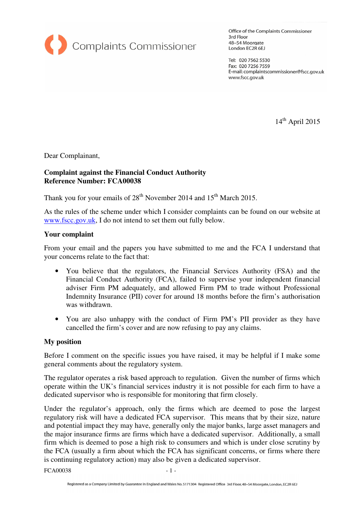

Office of the Complaints Commissioner 3rd Floor 48-54 Moorgate London EC2R 6EJ

Tel: 020 7562 5530 Fax: 020 7256 7559 E-mail: complaintscommissioner@fscc.gov.uk www.fscc.gov.uk

 $14^{\rm th}$  April 2015

Dear Complainant,

## **Complaint against the Financial Conduct Authority Reference Number: FCA00038**

Thank you for your emails of 28<sup>th</sup> November 2014 and 15<sup>th</sup> March 2015.

As the rules of the scheme under which I consider complaints can be found on our website at www.fscc.gov.uk, I do not intend to set them out fully below.

## **Your complaint**

From your email and the papers you have submitted to me and the FCA I understand that your concerns relate to the fact that:

- You believe that the regulators, the Financial Services Authority (FSA) and the Financial Conduct Authority (FCA), failed to supervise your independent financial adviser Firm PM adequately, and allowed Firm PM to trade without Professional Indemnity Insurance (PII) cover for around 18 months before the firm's authorisation was withdrawn.
- You are also unhappy with the conduct of Firm PM's PII provider as they have cancelled the firm's cover and are now refusing to pay any claims.

## **My position**

Before I comment on the specific issues you have raised, it may be helpful if I make some general comments about the regulatory system.

The regulator operates a risk based approach to regulation. Given the number of firms which operate within the UK's financial services industry it is not possible for each firm to have a dedicated supervisor who is responsible for monitoring that firm closely.

Under the regulator's approach, only the firms which are deemed to pose the largest regulatory risk will have a dedicated FCA supervisor. This means that by their size, nature and potential impact they may have, generally only the major banks, large asset managers and the major insurance firms are firms which have a dedicated supervisor. Additionally, a small firm which is deemed to pose a high risk to consumers and which is under close scrutiny by the FCA (usually a firm about which the FCA has significant concerns, or firms where there is continuing regulatory action) may also be given a dedicated supervisor.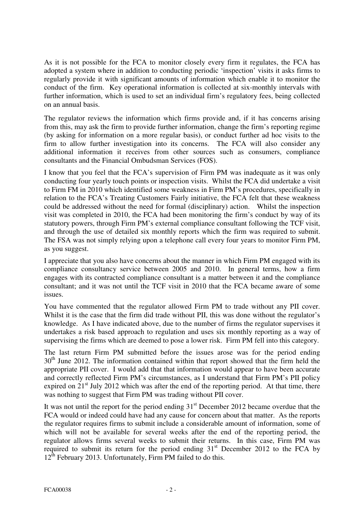As it is not possible for the FCA to monitor closely every firm it regulates, the FCA has adopted a system where in addition to conducting periodic 'inspection' visits it asks firms to regularly provide it with significant amounts of information which enable it to monitor the conduct of the firm. Key operational information is collected at six-monthly intervals with further information, which is used to set an individual firm's regulatory fees, being collected on an annual basis.

The regulator reviews the information which firms provide and, if it has concerns arising from this, may ask the firm to provide further information, change the firm's reporting regime (by asking for information on a more regular basis), or conduct further ad hoc visits to the firm to allow further investigation into its concerns. The FCA will also consider any additional information it receives from other sources such as consumers, compliance consultants and the Financial Ombudsman Services (FOS).

I know that you feel that the FCA's supervision of Firm PM was inadequate as it was only conducting four yearly touch points or inspection visits. Whilst the FCA did undertake a visit to Firm FM in 2010 which identified some weakness in Firm PM's procedures, specifically in relation to the FCA's Treating Customers Fairly initiative, the FCA felt that these weakness could be addressed without the need for formal (disciplinary) action. Whilst the inspection visit was completed in 2010, the FCA had been monitoring the firm's conduct by way of its statutory powers, through Firm PM's external compliance consultant following the TCF visit, and through the use of detailed six monthly reports which the firm was required to submit. The FSA was not simply relying upon a telephone call every four years to monitor Firm PM, as you suggest.

I appreciate that you also have concerns about the manner in which Firm PM engaged with its compliance consultancy service between 2005 and 2010. In general terms, how a firm engages with its contracted compliance consultant is a matter between it and the compliance consultant; and it was not until the TCF visit in 2010 that the FCA became aware of some issues.

You have commented that the regulator allowed Firm PM to trade without any PII cover. Whilst it is the case that the firm did trade without PII, this was done without the regulator's knowledge. As I have indicated above, due to the number of firms the regulator supervises it undertakes a risk based approach to regulation and uses six monthly reporting as a way of supervising the firms which are deemed to pose a lower risk. Firm PM fell into this category.

The last return Firm PM submitted before the issues arose was for the period ending 30<sup>th</sup> June 2012. The information contained within that report showed that the firm held the appropriate PII cover. I would add that that information would appear to have been accurate and correctly reflected Firm PM's circumstances, as I understand that Firm PM's PII policy expired on  $21<sup>st</sup>$  July 2012 which was after the end of the reporting period. At that time, there was nothing to suggest that Firm PM was trading without PII cover.

It was not until the report for the period ending  $31<sup>st</sup>$  December 2012 became overdue that the FCA would or indeed could have had any cause for concern about that matter. As the reports the regulator requires firms to submit include a considerable amount of information, some of which will not be available for several weeks after the end of the reporting period, the regulator allows firms several weeks to submit their returns. In this case, Firm PM was required to submit its return for the period ending  $31<sup>st</sup>$  December 2012 to the FCA by  $12<sup>th</sup>$  February 2013. Unfortunately, Firm PM failed to do this.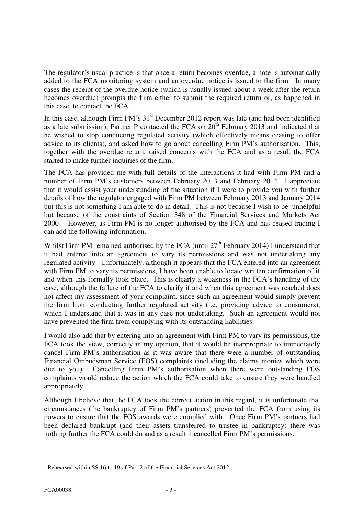The regulator's usual practice is that once a return becomes overdue, a note is automatically added to the FCA monitoring system and an overdue notice is issued to the firm. In many cases the receipt of the overdue notice (which is usually issued about a week after the return becomes overdue) prompts the firm either to submit the required return or, as happened in this case, to contact the FCA.

In this case, although Firm PM's  $31<sup>st</sup>$  December 2012 report was late (and had been identified as a late submission), Partner P contacted the FCA on  $20<sup>th</sup>$  February 2013 and indicated that he wished to stop conducting regulated activity (which effectively means ceasing to offer advice to its clients), and asked how to go about cancelling Firm PM's authorisation. This, together with the overdue return, raised concerns with the FCA and as a result the FCA started to make further inquiries of the firm.

The FCA has provided me with full details of the interactions it had with Firm PM and a number of Firm PM's customers between February 2013 and February 2014. I appreciate that it would assist your understanding of the situation if I were to provide you with further details of how the regulator engaged with Firm PM between February 2013 and January 2014 but this is not something I am able to do in detail. This is not because I wish to be unhelpful but because of the constraints of Section 348 of the Financial Services and Markets Act  $2000<sup>1</sup>$ . However, as Firm PM is no longer authorised by the FCA and has ceased trading I can add the following information.

Whilst Firm PM remained authorised by the FCA (until  $27<sup>th</sup>$  February 2014) I understand that it had entered into an agreement to vary its permissions and was not undertaking any regulated activity. Unfortunately, although it appears that the FCA entered into an agreement with Firm PM to vary its permissions, I have been unable to locate written confirmation of if and when this formally took place. This is clearly a weakness in the FCA's handling of the case, although the failure of the FCA to clarify if and when this agreement was reached does not affect my assessment of your complaint, since such an agreement would simply prevent the firm from conducting further regulated activity (i.e. providing advice to consumers), which I understand that it was in any case not undertaking. Such an agreement would not have prevented the firm from complying with its outstanding liabilities.

I would also add that by entering into an agreement with Firm PM to vary its permissions, the FCA took the view, correctly in my opinion, that it would be inappropriate to immediately cancel Firm PM's authorisation as it was aware that there were a number of outstanding Financial Ombudsman Service (FOS) complaints (including the claims monies which were due to you). Cancelling Firm PM's authorisation when there were outstanding FOS complaints would reduce the action which the FCA could take to ensure they were handled appropriately.

Although I believe that the FCA took the correct action in this regard, it is unfortunate that circumstances (the bankruptcy of Firm PM's partners) prevented the FCA from using its powers to ensure that the FOS awards were complied with. Once Firm PM's partners had been declared bankrupt (and their assets transferred to trustee in bankruptcy) there was nothing further the FCA could do and as a result it cancelled Firm PM's permissions.

 $\overline{a}$ 1 Rehearsed within SS 16 to 19 of Part 2 of the Financial Services Act 2012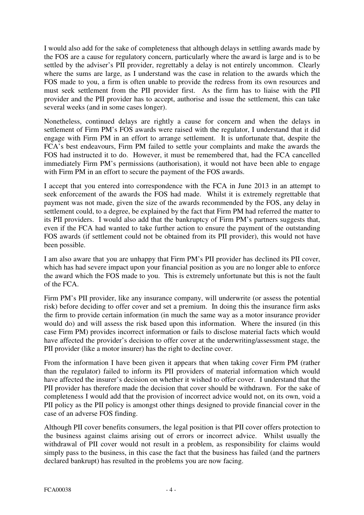I would also add for the sake of completeness that although delays in settling awards made by the FOS are a cause for regulatory concern, particularly where the award is large and is to be settled by the adviser's PII provider, regrettably a delay is not entirely uncommon. Clearly where the sums are large, as I understand was the case in relation to the awards which the FOS made to you, a firm is often unable to provide the redress from its own resources and must seek settlement from the PII provider first. As the firm has to liaise with the PII provider and the PII provider has to accept, authorise and issue the settlement, this can take several weeks (and in some cases longer).

Nonetheless, continued delays are rightly a cause for concern and when the delays in settlement of Firm PM's FOS awards were raised with the regulator, I understand that it did engage with Firm PM in an effort to arrange settlement. It is unfortunate that, despite the FCA's best endeavours, Firm PM failed to settle your complaints and make the awards the FOS had instructed it to do. However, it must be remembered that, had the FCA cancelled immediately Firm PM's permissions (authorisation), it would not have been able to engage with Firm PM in an effort to secure the payment of the FOS awards.

I accept that you entered into correspondence with the FCA in June 2013 in an attempt to seek enforcement of the awards the FOS had made. Whilst it is extremely regrettable that payment was not made, given the size of the awards recommended by the FOS, any delay in settlement could, to a degree, be explained by the fact that Firm PM had referred the matter to its PII providers. I would also add that the bankruptcy of Firm PM's partners suggests that, even if the FCA had wanted to take further action to ensure the payment of the outstanding FOS awards (if settlement could not be obtained from its PII provider), this would not have been possible.

I am also aware that you are unhappy that Firm PM's PII provider has declined its PII cover, which has had severe impact upon your financial position as you are no longer able to enforce the award which the FOS made to you. This is extremely unfortunate but this is not the fault of the FCA.

Firm PM's PII provider, like any insurance company, will underwrite (or assess the potential risk) before deciding to offer cover and set a premium. In doing this the insurance firm asks the firm to provide certain information (in much the same way as a motor insurance provider would do) and will assess the risk based upon this information. Where the insured (in this case Firm PM) provides incorrect information or fails to disclose material facts which would have affected the provider's decision to offer cover at the underwriting/assessment stage, the PII provider (like a motor insurer) has the right to decline cover.

From the information I have been given it appears that when taking cover Firm PM (rather than the regulator) failed to inform its PII providers of material information which would have affected the insurer's decision on whether it wished to offer cover. I understand that the PII provider has therefore made the decision that cover should be withdrawn. For the sake of completeness I would add that the provision of incorrect advice would not, on its own, void a PII policy as the PII policy is amongst other things designed to provide financial cover in the case of an adverse FOS finding.

Although PII cover benefits consumers, the legal position is that PII cover offers protection to the business against claims arising out of errors or incorrect advice. Whilst usually the withdrawal of PII cover would not result in a problem, as responsibility for claims would simply pass to the business, in this case the fact that the business has failed (and the partners declared bankrupt) has resulted in the problems you are now facing.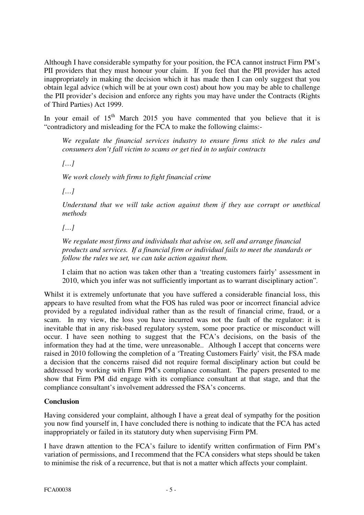Although I have considerable sympathy for your position, the FCA cannot instruct Firm PM's PII providers that they must honour your claim. If you feel that the PII provider has acted inappropriately in making the decision which it has made then I can only suggest that you obtain legal advice (which will be at your own cost) about how you may be able to challenge the PII provider's decision and enforce any rights you may have under the Contracts (Rights of Third Parties) Act 1999.

In your email of  $15<sup>th</sup>$  March 2015 you have commented that you believe that it is "contradictory and misleading for the FCA to make the following claims:-

*We regulate the financial services industry to ensure firms stick to the rules and consumers don't fall victim to scams or get tied in to unfair contracts* 

*[…]* 

*We work closely with firms to fight financial crime*

*[…]* 

*Understand that we will take action against them if they use corrupt or unethical methods* 

*[…]* 

*We regulate most firms and individuals that advise on, sell and arrange financial products and services. If a financial firm or individual fails to meet the standards or follow the rules we set, we can take action against them.* 

I claim that no action was taken other than a 'treating customers fairly' assessment in 2010, which you infer was not sufficiently important as to warrant disciplinary action"*.*

Whilst it is extremely unfortunate that you have suffered a considerable financial loss, this appears to have resulted from what the FOS has ruled was poor or incorrect financial advice provided by a regulated individual rather than as the result of financial crime, fraud, or a scam. In my view, the loss you have incurred was not the fault of the regulator: it is inevitable that in any risk-based regulatory system, some poor practice or misconduct will occur. I have seen nothing to suggest that the FCA's decisions, on the basis of the information they had at the time, were unreasonable.. Although I accept that concerns were raised in 2010 following the completion of a 'Treating Customers Fairly' visit, the FSA made a decision that the concerns raised did not require formal disciplinary action but could be addressed by working with Firm PM's compliance consultant. The papers presented to me show that Firm PM did engage with its compliance consultant at that stage, and that the compliance consultant's involvement addressed the FSA's concerns.

## **Conclusion**

Having considered your complaint, although I have a great deal of sympathy for the position you now find yourself in, I have concluded there is nothing to indicate that the FCA has acted inappropriately or failed in its statutory duty when supervising Firm PM.

I have drawn attention to the FCA's failure to identify written confirmation of Firm PM's variation of permissions, and I recommend that the FCA considers what steps should be taken to minimise the risk of a recurrence, but that is not a matter which affects your complaint.